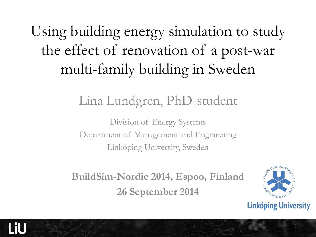Using building energy simulation to study the effect of renovation of a post-war multi-family building in Sweden

#### Lina Lundgren, PhD-student

Division of Energy Systems Department of Management and Engineering Linköping University, Sweden

**BuildSim-Nordic 2014, Espoo, Finland 26 September 2014**



**Linköping University**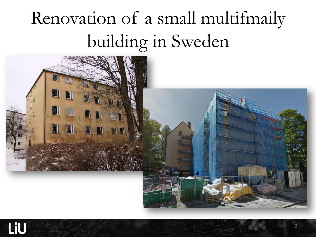# Renovation of a small multifmaily building in Sweden

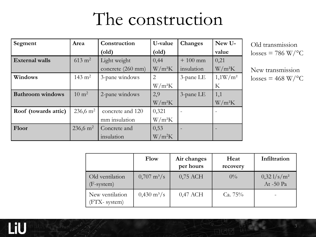#### The construction

| Segment                 | Area                | Construction      | U-value  | Changes      | New U-     |
|-------------------------|---------------------|-------------------|----------|--------------|------------|
|                         |                     | $\text{(old)}$    | (old)    |              | value      |
| <b>External walls</b>   | $613 \text{ m}^2$   | Light weight      | 0,44     | $+100$ mm    | 0,21       |
|                         |                     | concrete (260 mm) | $W/m^2K$ | insulation   | $W/m^2K$   |
| Windows                 | $143 \text{ m}^2$   | 3-pane windows    | 2        | 3-pane LE    | $1,1W/m^2$ |
|                         |                     |                   | $W/m^2K$ |              | K          |
| <b>Bathroom</b> windows | $10 \text{ m}^2$    | 2-pane windows    | 2,9      | $3$ -pane LE | 1,1        |
|                         |                     |                   | $W/m^2K$ |              | $W/m^2K$   |
| Roof (towards attic)    | $236,6 \text{ m}^2$ | concrete and 120  | 0,321    |              |            |
|                         |                     | mm insulation     | $W/m^2K$ |              |            |
| Floor                   | $236,6 \text{ m}^2$ | Concrete and      | 0,53     |              |            |
|                         |                     | insulation        | $W/m^2K$ |              |            |

Old transmission  $losses = 786 W$ <sup>o</sup>C

New transmission  $losses = 468 W$ <sup>o</sup>C

|                                 | Flow                         | Air changes<br>per hours | Heat<br>recovery | Infiltration               |
|---------------------------------|------------------------------|--------------------------|------------------|----------------------------|
| Old ventilation<br>$(F-system)$ | $0,707 \text{ m}^3/\text{s}$ | $0,75$ ACH               | $0\%$            | $0,321/s/m^2$<br>At -50 Pa |
| New ventilation<br>(FTX-system) | $0,430 \text{ m}^3/\text{s}$ | $0,47$ ACH               | Ca. $75%$        |                            |

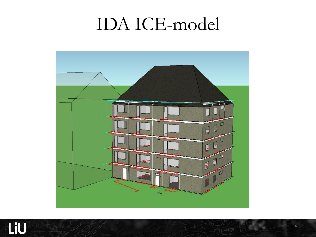#### IDA ICE-model



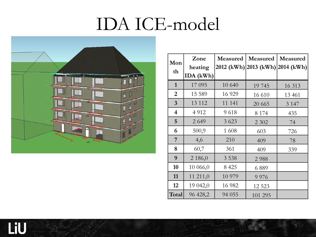## IDA ICE-model



LiU

| Mon                     | Zone      | Measured | Measured                         | Measured |  |
|-------------------------|-----------|----------|----------------------------------|----------|--|
| th                      | heating   |          | 2012 (kWh) 2013 (kWh) 2014 (kWh) |          |  |
|                         | IDA (kWh) |          |                                  |          |  |
| $\mathbf{1}$            | 17 095    | 10 640   | 19 745                           | 16 313   |  |
| $\overline{2}$          | 15 5 89   | 16 9 29  | 16 610                           | 13 4 61  |  |
| $\overline{3}$          | 13 112    | 11 141   | 20 6 65                          | 3 1 4 7  |  |
| $\overline{\mathbf{4}}$ | 4 9 1 2   | 9618     | 8 1 7 4                          | 435      |  |
| 5                       | 2 6 4 9   | 3 6 2 3  | 2 3 0 2                          | 74       |  |
| 6                       | 500,9     | 1 608    | 603                              | 726      |  |
| $\overline{7}$          | 4,6       | 210      | 409                              | 78       |  |
| 8                       | 60,7      | 361      | 409                              | 339      |  |
| 9                       | 2 186,0   | 3 5 3 8  | 2988                             |          |  |
| 10                      | 10 066,0  | 8 4 25   | 6889                             |          |  |
| 11                      | 11 211,0  | 10 979   | 9 9 7 6                          |          |  |
| 12                      | 19 042,0  | 16 982   | 12 5 23                          |          |  |
| Total                   | 96 428,2  | 94 055   | 101 295                          |          |  |

5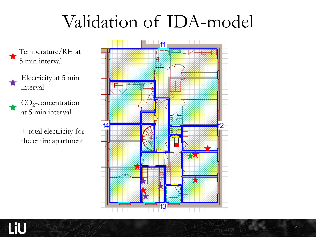## Validation of IDA-model

Temperature/RH at 5 min interval

Electricity at 5 min interval

 $\mathrm{CO}_2$ -concentration at 5 min interval

> + total electricity for the entire apartment



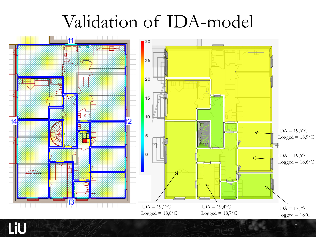### Validation of IDA-model



LiU

7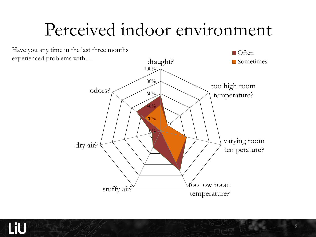## Perceived indoor environment



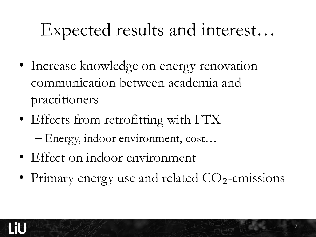# Expected results and interest…

- Increase knowledge on energy renovation communication between academia and practitioners
- Effects from retrofitting with FTX – Energy, indoor environment, cost…
- Effect on indoor environment
- Primary energy use and related  $CO<sub>2</sub>$ -emissions